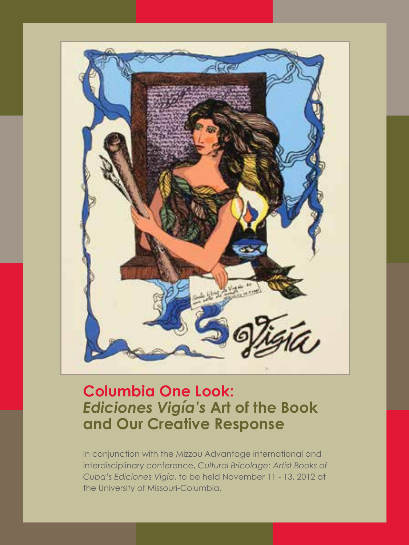

# **Columbia One Look:** *Ediciones Vigía's* **Art of the Book and Our Creative Response**

In conjunction with the Mizzou Advantage international and interdisciplinary conference, *Cultural Bricolage: Artist Books of Cuba's Ediciones Vigía*, to be held November 11 - 13, 2012 at the University of Missouri-Columbia.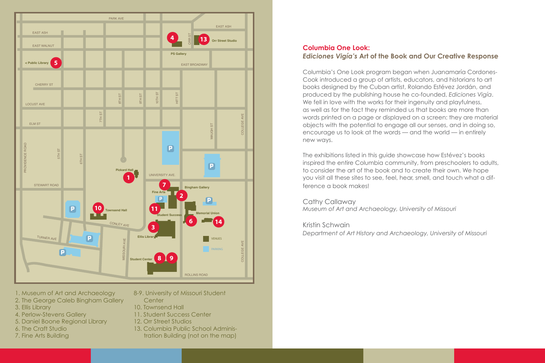

- 1. Museum of Art and Archaeology
- 2. The George Caleb Bingham Gallery
- 3. Ellis Library
- 4. Perlow-Stevens Gallery
- 5. Daniel Boone Regional Library
- 6. The Craft Studio
- 7. Fine Arts Building
- 8-9. University of Missouri Student
	- **Center**
- 10. Townsend Hall
- 11. Student Success Center
- 12. Orr Street Studios
- 13. Columbia Public School Adminis
	- tration Building (not on the map)

# **Columbia One Look:**  *Ediciones Vigía's* **Art of the Book and Our Creative Response**

Columbia's One Look program began when Juanamaría Cordones-Cook introduced a group of artists, educators, and historians to art books designed by the Cuban artist, Rolando Estévez Jordán, and produced by the publishing house he co-founded, *Ediciones Vigía*. We fell in love with the works for their ingenuity and playfulness, as well as for the fact they reminded us that books are more than words printed on a page or displayed on a screen: they are material objects with the potential to engage all our senses, and in doing so, encourage us to look at the words — and the world — in entirely new ways.

The exhibitions listed in this guide showcase how Estévez's books inspired the entire Columbia community, from preschoolers to adults, to consider the art of the book and to create their own. We hope you visit all these sites to see, feel, hear, smell, and touch what a difference a book makes!

# Cathy Callaway

*Museum of Art and Archaeology, University of Missouri*

Kristin Schwain

*Department of Art History and Archaeology, University of Missouri*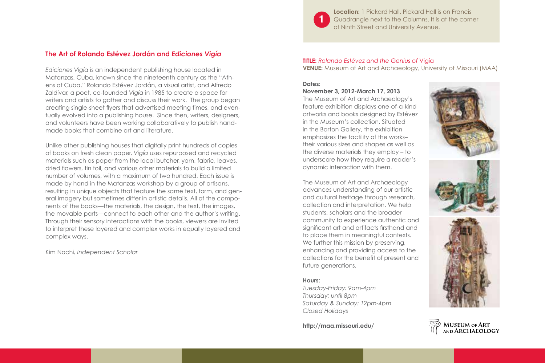

**Location:** 1 Pickard Hall. Pickard Hall is on Francis Quadrangle next to the Columns. It is at the corner of Ninth Street and University Avenue.

# **The Art of Rolando Estévez Jordán and** *Ediciones Vigía*

*Ediciones Vigía* is an independent publishing house located in Matanzas, Cuba, known since the nineteenth century as the "Athens of Cuba." Rolando Estévez Jordán, a visual artist, and Alfredo Zaldívar, a poet, co-founded *Vigía* in 1985 to create a space for writers and artists to gather and discuss their work. The group began creating single-sheet flyers that advertised meeting times, and eventually evolved into a publishing house. Since then, writers, designers, and volunteers have been working collaboratively to publish handmade books that combine art and literature.

Unlike other publishing houses that digitally print hundreds of copies of books on fresh clean paper, *Vigía* uses repurposed and recycled materials such as paper from the local butcher, yarn, fabric, leaves, dried flowers, tin foil, and various other materials to build a limited number of volumes, with a maximum of two hundred. Each issue is made by hand in the Matanzas workshop by a group of artisans, resulting in unique objects that feature the same text, form, and general imagery but sometimes differ in artistic details. All of the components of the books—the materials, the design, the text, the images, the movable parts—connect to each other and the author's writing. Through their sensory interactions with the books, viewers are invited to interpret these layered and complex works in equally layered and complex ways.

Kim Nochi*, Independent Scholar*

#### **TITLE:** *Rolando Estévez and the Genius of* Vigía **VENUE:** Museum of Art and Archaeology, University of Missouri (MAA)

#### **Dates:**

**November 3, 2012-March 17, 2013**

The Museum of Art and Archaeology's feature exhibition displays one-of-a-kind artworks and books designed by Estévez in the Museum's collection. Situated in the Barton Gallery, the exhibition emphasizes the tactility of the works– their various sizes and shapes as well as the diverse materials they employ – to underscore how they require a reader's dynamic interaction with them.

The Museum of Art and Archaeology advances understanding of our artistic and cultural heritage through research, collection and interpretation. We help students, scholars and the broader community to experience authentic and significant art and artifacts firsthand and to place them in meaningful contexts. We further this mission by preserving, enhancing and providing access to the collections for the benefit of present and future generations.

#### **Hours:**

*Tuesday-Friday: 9am-4pm Thursday: until 8pm Saturday & Sunday: 12pm-4pm Closed Holidays*

**http://maa.missouri.edu/** 







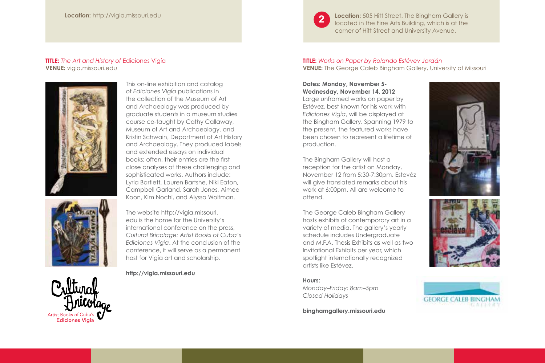#### **Location:** http://vigia.missouri.edu

#### **TITLE:** *The Art and History of* Ediciones Vigía **VENUE:** vigia.missouri.edu



Artist Books of Cuba's **Ediciones Vigía** 

This on-line exhibition and catalog of *Ediciones Vigía* publications in the collection of the Museum of Art and Archaeology was produced by graduate students in a museum studies course co-taught by Cathy Callaway, Museum of Art and Archaeology, and Kristin Schwain, Department of Art History and Archaeology. They produced labels and extended essays on individual books; often, their entries are the first close analyses of these challenging and sophisticated works. Authors include: Lyria Bartlett, Lauren Bartshe, Niki Eaton, Campbell Garland, Sarah Jones, Aimee Koon, Kim Nochi, and Alyssa Wolfman.

The website http://vigia.missouri. edu is the home for the University's international conference on the press, *Cultural Bricolage: Artist Books of Cuba's Ediciones Vigía*. At the conclusion of the conference, it will serve as a permanent host for Vigía art and scholarship.

**http://vigia.missouri.edu**

**TITLE:** *Works on Paper by Rolando Estévev Jordán* **VENUE:** The George Caleb Bingham Gallery, University of Missouri

**Location:** 505 Hitt Street. The Bingham Gallery is located in the Fine Arts Building, which is at the corner of Hitt Street and University Avenue.

#### **Dates: Monday, November 5- Wednesday, November 14, 2012**

**2**

Large unframed works on paper by Estévez, best known for his work with *Ediciones Vigía*, will be displayed at the Bingham Gallery. Spanning 1979 to the present, the featured works have been chosen to represent a lifetime of production.

The Bingham Gallery will host a reception for the artist on Monday, November 12 from 5:30-7:30pm. Estevéz will give translated remarks about his work at 6:00pm. All are welcome to attend.

The George Caleb Bingham Gallery hosts exhibits of contemporary art in a variety of media. The gallery's yearly schedule includes Undergraduate and M.F.A. Thesis Exhibits as well as two Invitational Exhibits per year, which spotlight internationally recognized artists like Estévez.

#### **Hours:**

*Monday–Friday: 8am–5pm Closed Holidays*

**binghamgallery.missouri.edu**



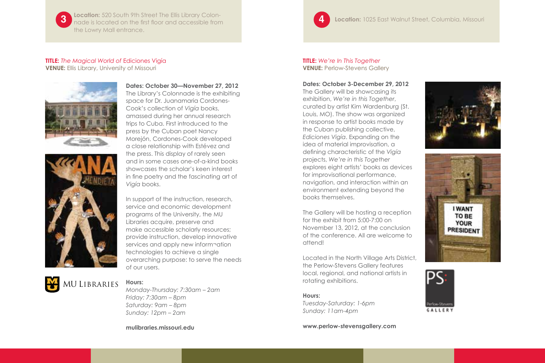**3 Location:** 520 South 9th Street The Ellis Library Colon-nade is located on the first floor and accessible from the Lowry Mall entrance.

#### **TITLE:** *The Magical World of* Ediciones Vigía **VENUE:** Ellis Library, University of Missouri





**Dates: October 30—November 27, 2012** The Library's Colonnade is the exhibiting space for Dr. Juanamaria Cordones-Cook's collection of *Vigía* books, amassed during her annual research trips to Cuba. First introduced to the press by the Cuban poet Nancy Morejón, Cordones-Cook developed a close relationship with Estévez and the press. This display of rarely seen and in some cases one-of-a-kind books showcases the scholar's keen interest in fine poetry and the fascinating art of *Vigía* books.

In support of the instruction, research, service and economic development programs of the University, the MU Libraries acquire, preserve and make accessible scholarly resources; provide instruction, develop innovative services and apply new inform¬ation technologies to achieve a single overarching purpose: to serve the needs of our users.



# **Hours:**

*Monday-Thursday: 7:30am – 2am Friday: 7:30am – 8pm Saturday: 9am – 8pm Sunday: 12pm – 2am*

**mulibraries.missouri.edu** 



**4 Location:** 1025 East Walnut Street, Columbia, Missouri

#### **TITLE:** *We're In This Together* **VENUE: Perlow-Stevens Gallery**

**Dates: October 3-December 29, 2012**

The Gallery will be showcasing its exhibition, *We're in this Together*, curated by artist Kim Wardenburg (St. Louis, MO). The show was organized in response to artist books made by the Cuban publishing collective, *Ediciones Vigía*. Expanding on the idea of material improvisation, a defining characteristic of the *Vigía* projects, *We're in this Together*  explores eight artists' books as devices for improvisational performance, navigation, and interaction within an environment extending beyond the books themselves.

The Gallery will be hosting a reception for the exhibit from 5:00-7:00 on November 13, 2012, at the conclusion of the conference. All are welcome to attend!

Located in the North Village Arts District, the Perlow-Stevens Gallery features local, regional, and national artists in rotating exhibitions.

#### **Hours:**

*Tuesday-Saturday: 1-6pm Sunday: 11am-4pm*

**www.perlow-stevensgallery.com**





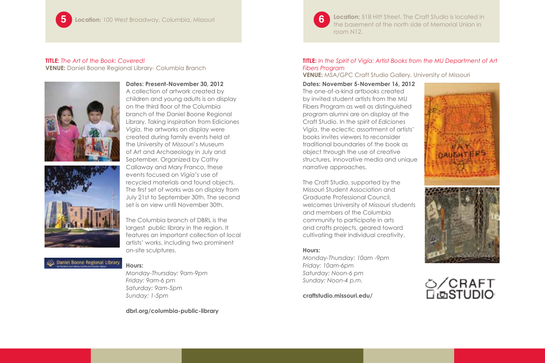#### **TITLE:** *The Art of the Book: Covered!* **VENUE:** Daniel Boone Regional Library- Columbia Branch





A collection of artwork created by children and young adults is on display on the third floor of the Columbia branch of the Daniel Boone Regional Library. Taking inspiration from Ediciones *Vigía*, the artworks on display were created during family events held at the University of Missouri's Museum of Art and Archaeology in July and September. Organized by Cathy Callaway and Mary Franco, these events focused on *Vigía's* use of recycled materials and found objects.

The first set of works was on display from July 21st to September 30th. The second set is on view until November 30th.

The Columbia branch of DBRL is the largest public library in the region. It features an important collection of local artists' works, including two prominent on-site sculptures.

# Dantel Boone Regional Library

**Hours:** 

*Monday-Thursday: 9am-9pm Friday: 9am-6 pm Saturday: 9am-5pm Sunday: 1-5pm*

**dbrl.org/columbia-public-library**



**Location:** 518 Hitt Street. The Craft Studio is located in the basement of the north side of Memorial Union in room N12.

#### **TITLE:** *In the Spirit of Vigía: Artist Books from the MU Department of Art Fibers Program*

**VENUE:** MSA/GPC Craft Studio Gallery, University of Missouri

#### **Dates: November 5-November 16, 2012**

The one-of-a-kind artbooks created by invited student artists from the MU Fibers Program as well as distinguished program alumni are on display at the Craft Studio. In the spirit of *Ediciones Vigía*, the eclectic assortment of artists' books invites viewers to reconsider traditional boundaries of the book as object through the use of creative structures, innovative media and unique narrative approaches.

The Craft Studio, supported by the Missouri Student Association and Graduate Professional Council, welcomes University of Missouri students and members of the Columbia community to participate in arts and crafts projects, geared toward cultivating their individual creativity.

#### **Hours:**

*Monday-Thursday: 10am -9pm Friday: 10am-6pm Saturday: Noon-6 pm Sunday: Noon-4 p.m.*

**craftstudio.missouri.edu/**



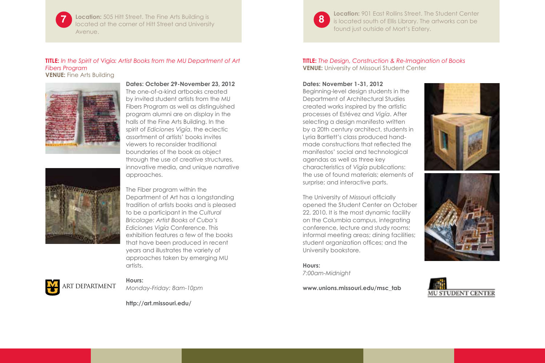**7 8 Location:** 505 Hitt Street. The Fine Arts Building is located at the corner of Hitt Street and University Avenue.

#### **TITLE:** *In the Spirit of* Vigía*: Artist Books from the MU Department of Art Fibers Program* **VENUE:** Fine Arts Building





**Dates: October 29-November 23, 2012** The one-of-a-kind artbooks created by invited student artists from the MU Fibers Program as well as distinguished program alumni are on display in the halls of the Fine Arts Building. In the spirit of *Ediciones Vigía*, the eclectic assortment of artists' books invites viewers to reconsider traditional boundaries of the book as object through the use of creative structures, innovative media, and unique narrative approaches.

The Fiber program within the Department of Art has a longstanding tradition of artists books and is pleased to be a participant in the *Cultural Bricolage: Artist Books of Cuba's Ediciones Vigía* Conference. This exhibition features a few of the books that have been produced in recent years and illustrates the variety of approaches taken by emerging MU artists.



#### **Hours:**  *Monday-Friday: 8am-10pm*

**http://art.missouri.edu/**



**Location: 901 East Rollins Street. The Student Center** is located south of Ellis Library. The artworks can be found just outside of Mort's Eatery.

#### **TITLE:** *The Design, Construction & Re-Imagination of Books* **VENUE:** University of Missouri Student Center

#### **Dates: November 1-31, 2012**

Beginning-level design students in the Department of Architectural Studies created works inspired by the artistic processes of Estévez and *Vigía*. After selecting a design manifesto written by a 20th century architect, students in Lyria Bartlett's class produced handmade constructions that reflected the manifestos' social and technological agendas as well as three key characteristics of *Vigía* publications: the use of found materials; elements of surprise; and interactive parts.

The University of Missouri officially opened the Student Center on October 22, 2010. It is the most dynamic facility on the Columbia campus, integrating conference, lecture and study rooms; informal meeting areas; dining facilities; student organization offices; and the University bookstore.

**Hours:**  *7:00am-Midnight*







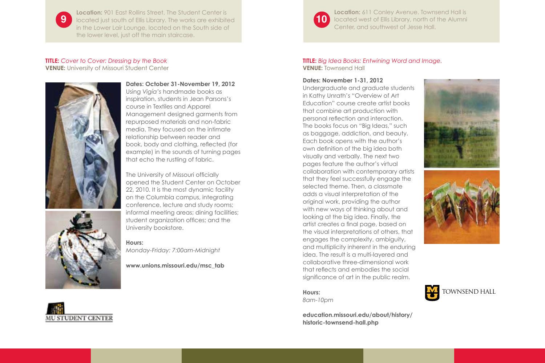**9 10** located just south of Ellis Library. The works are exhibited **Location:** 901 East Rollins Street. The Student Center is in the Lower Lair Lounge, located on the South side of the lower level, just off the main staircase.

#### **TITLE:** *Cover to Cover: Dressing by the Book* **VENUE:** University of Missouri Student Center





**Dates: October 31-November 19, 2012** Using *Vigía's* handmade books as inspiration, students in Jean Parsons's course in Textiles and Apparel Management designed garments from repurposed materials and non-fabric media. They focused on the intimate relationship between reader and book, body and clothing, reflected (for example) in the sounds of turning pages that echo the rustling of fabric.

The University of Missouri officially opened the Student Center on October 22, 2010. It is the most dynamic facility on the Columbia campus, integrating conference, lecture and study rooms; informal meeting areas; dining facilities; student organization offices; and the University bookstore.

**Hours:**  *Monday-Friday: 7:00am-Midnight*

**www.unions.missouri.edu/msc\_tab**



**Location:** 611 Conley Avenue. Townsend Hall is **10** located west of Ellis Library, north of the Alumni Center, and southwest of Jesse Hall.

#### **TITLE:** *Big Idea Books: Entwining Word and Image.*  **VENUE:** Townsend Hall

#### **Dates: November 1-31, 2012**

Undergraduate and graduate students in Kathy Unrath's "Overview of Art Education" course create artist books that combine art production with personal reflection and interaction. The books focus on "Big Ideas," such as baggage, addiction, and beauty. Each book opens with the author's own definition of the big idea both visually and verbally. The next two pages feature the author's virtual collaboration with contemporary artists that they feel successfully engage the selected theme. Then, a classmate adds a visual interpretation of the original work, providing the author with new ways of thinking about and looking at the big idea. Finally, the artist creates a final page, based on the visual interpretations of others, that engages the complexity, ambiguity, and multiplicity inherent in the enduring idea. The result is a multi-layered and collaborative three-dimensional work that reflects and embodies the social significance of art in the public realm.







*8am-10pm*

**education.missouri.edu/about/history/ historic-townsend-hall.php**

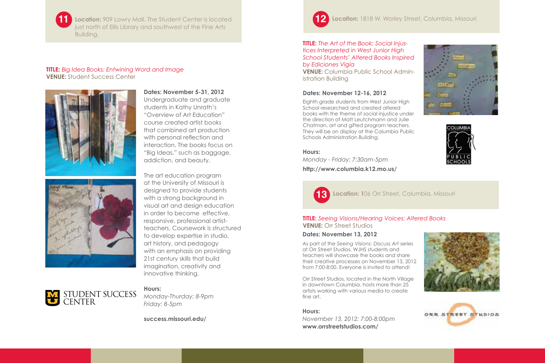**11**

**Location: 909 Lowry Mall. The Student Center is located** just north of Ellis Library and southwest of the Fine Arts Building.

#### **TITLE:** *Big Idea Books: Entwining Word and Image* **VENUE:** Student Success Center





### **Dates: November 5-31, 2012**

Undergraduate and graduate students in Kathy Unrath's "Overview of Art Education" course created artist books that combined art production with personal reflection and interaction. The books focus on "Big Ideas," such as baggage, addiction, and beauty.

The art education program at the University of Missouri is designed to provide students with a strong background in visual art and design education in order to become effective, responsive, professional artistteachers. Coursework is structured to develop expertise in studio, art history, and pedagogy with an emphasis on providing 21st century skills that build imagination, creativity and innovative thinking.

# Student Success Center

**Hours:**  *Monday-Thurday: 8-9pm*

*Friday: 8-5pm*

**success.missouri.edu/**



#### **TITLE:** *The Art of the Book: Social Injustices Interpreted in West Junior High School Students' Altered Books Inspired by Ediciones Vigía* **VENUE:** Columbia Public School Admin-

istration Building

#### **Dates: November 12-16, 2012**

Eighth grade students from West Junior High School researched and created altered books with the theme of social injustice under the direction of Matt Leutchmann and Julie Chatman, art and gifted program teachers. They will be on display at the Columbia Public Schools Administration Building.

#### **Hours:**

*Monday - Friday: 7:30am-5pm* **http://www.columbia.k12.mo.us/**







#### **TITLE:** *Seeing Visions/Hearing Voices: Altered Books* **VENUE:** Orr Street Studios

#### **Dates: November 13, 2012**

As part of the *Seeing Visions: Discuss Art* series at Orr Street Studios, WJHS students and teachers will showcase the books and share their creative processes on November 13, 2012 from 7:00-8:00. Everyone is invited to attend!

Orr Street Studios, located in the North Village in downtown Columbia, hosts more than 25 artists working with various media to create fine art.

#### **Hours:**

*November 13, 2012: 7:00-8:00pm* **www.orrstreetstudios.com/**



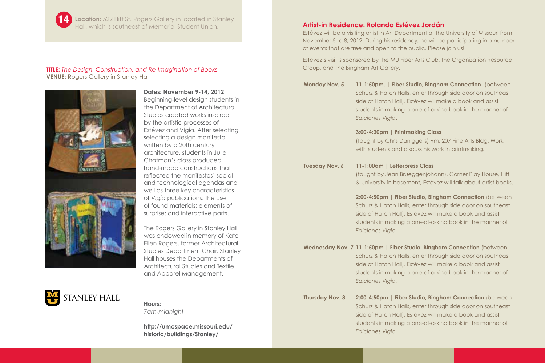

**14 Location:** 522 Hitt St. Rogers Gallery in located in Stanley Hall, which is southeast of Memorial Student Union. **Artist-in Residence: Rolando Estévez Jordán**

#### **TITLE:** *The Design, Construction, and Re-Imagination of Books* **VENUE:** Rogers Gallery in Stanley Hall





**Dates: November 9-14, 2012** Beginning-level design students in the Department of Architectural Studies created works inspired by the artistic processes of Estévez and Vigía. After selecting selecting a design manifesto written by a 20th century

architecture, students in Julie Chatman's class produced hand-made constructions that reflected the manifestos' social and technological agendas and well as three key characteristics of *Vigía* publications: the use of found materials; elements of surprise; and interactive parts.

The Rogers Gallery in Stanley Hall was endowed in memory of Kate Ellen Rogers, former Architectural Studies Department Chair. Stanley Hall houses the Departments of Architectural Studies and Textile and Apparel Management.



# **Hours:**

*7am-midnight*

**http://umcspace.missouri.edu/ historic/buildings/Stanley/**

Estévez will be a visiting artist in Art Department at the University of Missouri from November 5 to 8, 2012. During his residency, he will be participating in a number of events that are free and open to the public. Please join us!

Estevez's visit is sponsored by the MU Fiber Arts Club, the Organization Resource Group, and The Bingham Art Gallery.

| Monday Nov. 5 | 11-1:50pm.   Fiber Studio, Bingham Connection (between     |
|---------------|------------------------------------------------------------|
|               | Schurz & Hatch Halls, enter through side door on southeast |
|               | side of Hatch Hall). Estévez wil make a book and assist    |
|               | students in making a one-of-a-kind book in the manner of   |
|               | Ediciones Vigía.                                           |

#### **3:00-4:30pm | Printmaking Class**

(taught by Chris Daniggelis) Rm. 207 Fine Arts Bldg. Work with students and discuss his work in printmaking.

**Tuesday Nov. 6 11-1:00am | Letterpress Class** 

(taught by Jean Brueggenjohann), Corner Play House, Hitt & University in basement, Estévez will talk about artist books.

**2:00-4:50pm | Fiber Studio, Bingham Connection** (between Schurz & Hatch Halls, enter through side door on southeast side of Hatch Hall). Estévez will make a book and assist students in making a one-of-a-kind book in the manner of *Ediciones Vigia.*

**Wednesday Nov. 7 11-1:50pm | Fiber Studio, Bingham Connection** (between Schurz & Hatch Halls, enter through side door on southeast side of Hatch Hall). Estévez will make a book and assist students in making a one-of-a-kind book in the manner of *Ediciones Vigia.*

**Thursday Nov. 8 2:00-4:50pm | Fiber Studio, Bingham Connection** (between Schurz & Hatch Halls, enter through side door on southeast side of Hatch Hall). Estévez will make a book and assist students in making a one-of-a-kind book in the manner of *Ediciones Vigia.*